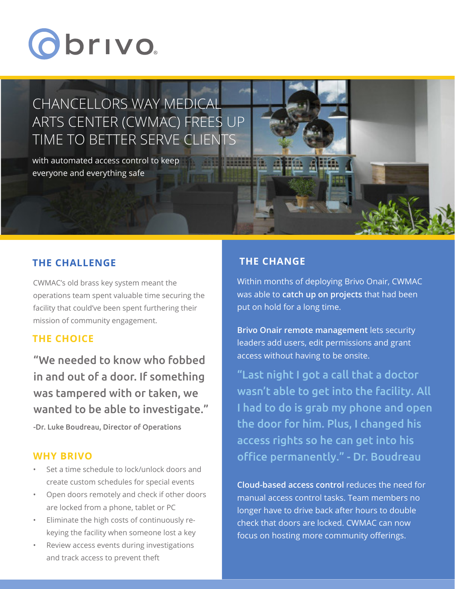# Obrivo.

# CHANCELLORS WAY MEDICAL ARTS CENTER (CWMAC) FREES UP TIME TO BETTER SERVE CLIENTS

with automated access control to keep everyone and everything safe

### **THE CHALLENGE**

CWMAC's old brass key system meant the operations team spent valuable time securing the facility that could've been spent furthering their mission of community engagement.

#### **THE CHOICE**

"We needed to know who fobbed in and out of a door. If something was tampered with or taken, we wanted to be able to investigate."

-Dr. Luke Boudreau, Director of Operations

#### **WHY BRIVO**

- Set a time schedule to lock/unlock doors and create custom schedules for special events
- Open doors remotely and check if other doors are locked from a phone, tablet or PC
- Eliminate the high costs of continuously rekeying the facility when someone lost a key
- Review access events during investigations and track access to prevent theft

## **THE CHANGE**

Within months of deploying Brivo Onair, CWMAC was able to **catch up on projects** that had been put on hold for a long time.

**Brivo Onair remote management** lets security leaders add users, edit permissions and grant access without having to be onsite.

"Last night I got a call that a doctor wasn't able to get into the facility. All I had to do is grab my phone and open the door for him. Plus, I changed his access rights so he can get into his office permanently." - Dr. Boudreau

**Cloud-based access control** reduces the need for manual access control tasks. Team members no longer have to drive back after hours to double check that doors are locked. CWMAC can now focus on hosting more community offerings.